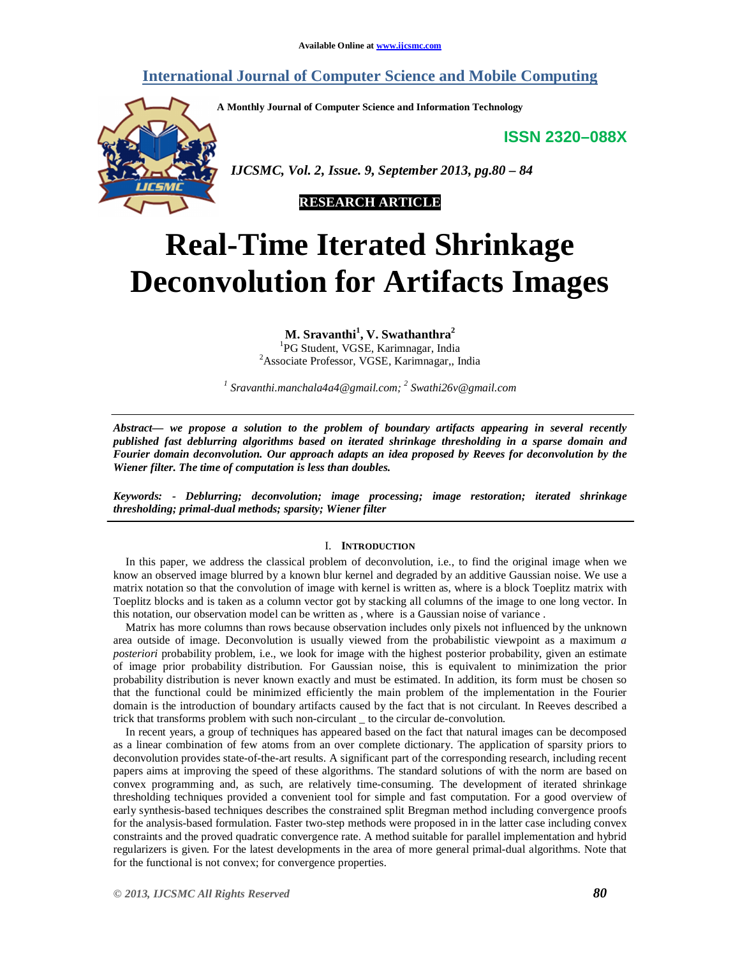# **International Journal of Computer Science and Mobile Computing**

**A Monthly Journal of Computer Science and Information Technology**

**ISSN 2320–088X**



 *IJCSMC, Vol. 2, Issue. 9, September 2013, pg.80 – 84*



# **Real-Time Iterated Shrinkage Deconvolution for Artifacts Images**

**M. Sravanthi<sup>1</sup> , V. Swathanthra<sup>2</sup>**

<sup>1</sup>PG Student, VGSE, Karimnagar, India <sup>2</sup>Associate Professor, VGSE, Karimnagar,, India

*1 Sravanthi.manchala4a4@gmail.com; 2 Swathi26v@gmail.com*

*Abstract— we propose a solution to the problem of boundary artifacts appearing in several recently published fast deblurring algorithms based on iterated shrinkage thresholding in a sparse domain and Fourier domain deconvolution. Our approach adapts an idea proposed by Reeves for deconvolution by the Wiener filter. The time of computation is less than doubles.*

*Keywords: - Deblurring; deconvolution; image processing; image restoration; iterated shrinkage thresholding; primal-dual methods; sparsity; Wiener filter*

## I. **INTRODUCTION**

In this paper, we address the classical problem of deconvolution, i.e., to find the original image when we know an observed image blurred by a known blur kernel and degraded by an additive Gaussian noise. We use a matrix notation so that the convolution of image with kernel is written as, where is a block Toeplitz matrix with Toeplitz blocks and is taken as a column vector got by stacking all columns of the image to one long vector. In this notation, our observation model can be written as , where is a Gaussian noise of variance .

Matrix has more columns than rows because observation includes only pixels not influenced by the unknown area outside of image. Deconvolution is usually viewed from the probabilistic viewpoint as a maximum *a posteriori* probability problem, i.e., we look for image with the highest posterior probability, given an estimate of image prior probability distribution. For Gaussian noise, this is equivalent to minimization the prior probability distribution is never known exactly and must be estimated. In addition, its form must be chosen so that the functional could be minimized efficiently the main problem of the implementation in the Fourier domain is the introduction of boundary artifacts caused by the fact that is not circulant. In Reeves described a trick that transforms problem with such non-circulant \_ to the circular de-convolution.

In recent years, a group of techniques has appeared based on the fact that natural images can be decomposed as a linear combination of few atoms from an over complete dictionary. The application of sparsity priors to deconvolution provides state-of-the-art results. A significant part of the corresponding research, including recent papers aims at improving the speed of these algorithms. The standard solutions of with the norm are based on convex programming and, as such, are relatively time-consuming. The development of iterated shrinkage thresholding techniques provided a convenient tool for simple and fast computation. For a good overview of early synthesis-based techniques describes the constrained split Bregman method including convergence proofs for the analysis-based formulation. Faster two-step methods were proposed in in the latter case including convex constraints and the proved quadratic convergence rate. A method suitable for parallel implementation and hybrid regularizers is given. For the latest developments in the area of more general primal-dual algorithms. Note that for the functional is not convex; for convergence properties.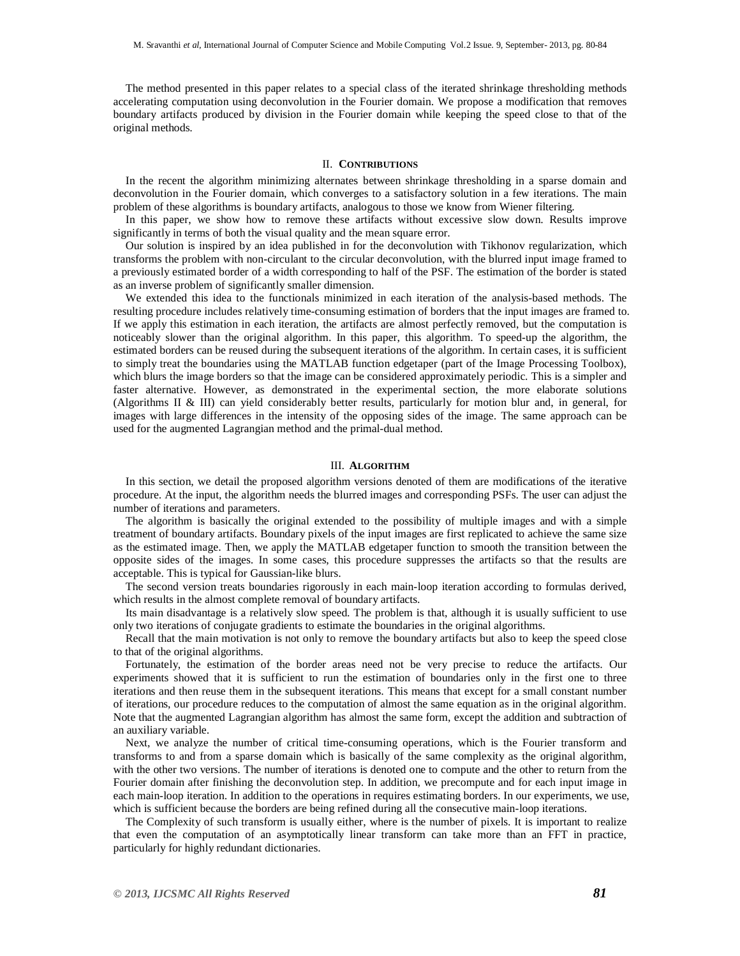The method presented in this paper relates to a special class of the iterated shrinkage thresholding methods accelerating computation using deconvolution in the Fourier domain. We propose a modification that removes boundary artifacts produced by division in the Fourier domain while keeping the speed close to that of the original methods.

#### II. **CONTRIBUTIONS**

In the recent the algorithm minimizing alternates between shrinkage thresholding in a sparse domain and deconvolution in the Fourier domain, which converges to a satisfactory solution in a few iterations. The main problem of these algorithms is boundary artifacts, analogous to those we know from Wiener filtering.

In this paper, we show how to remove these artifacts without excessive slow down. Results improve significantly in terms of both the visual quality and the mean square error.

Our solution is inspired by an idea published in for the deconvolution with Tikhonov regularization, which transforms the problem with non-circulant to the circular deconvolution, with the blurred input image framed to a previously estimated border of a width corresponding to half of the PSF. The estimation of the border is stated as an inverse problem of significantly smaller dimension.

We extended this idea to the functionals minimized in each iteration of the analysis-based methods. The resulting procedure includes relatively time-consuming estimation of borders that the input images are framed to. If we apply this estimation in each iteration, the artifacts are almost perfectly removed, but the computation is noticeably slower than the original algorithm. In this paper, this algorithm. To speed-up the algorithm, the estimated borders can be reused during the subsequent iterations of the algorithm. In certain cases, it is sufficient to simply treat the boundaries using the MATLAB function edgetaper (part of the Image Processing Toolbox), which blurs the image borders so that the image can be considered approximately periodic. This is a simpler and faster alternative. However, as demonstrated in the experimental section, the more elaborate solutions (Algorithms II & III) can yield considerably better results, particularly for motion blur and, in general, for images with large differences in the intensity of the opposing sides of the image. The same approach can be used for the augmented Lagrangian method and the primal-dual method.

#### III. **ALGORITHM**

In this section, we detail the proposed algorithm versions denoted of them are modifications of the iterative procedure. At the input, the algorithm needs the blurred images and corresponding PSFs. The user can adjust the number of iterations and parameters.

The algorithm is basically the original extended to the possibility of multiple images and with a simple treatment of boundary artifacts. Boundary pixels of the input images are first replicated to achieve the same size as the estimated image. Then, we apply the MATLAB edgetaper function to smooth the transition between the opposite sides of the images. In some cases, this procedure suppresses the artifacts so that the results are acceptable. This is typical for Gaussian-like blurs.

The second version treats boundaries rigorously in each main-loop iteration according to formulas derived, which results in the almost complete removal of boundary artifacts.

Its main disadvantage is a relatively slow speed. The problem is that, although it is usually sufficient to use only two iterations of conjugate gradients to estimate the boundaries in the original algorithms.

Recall that the main motivation is not only to remove the boundary artifacts but also to keep the speed close to that of the original algorithms.

Fortunately, the estimation of the border areas need not be very precise to reduce the artifacts. Our experiments showed that it is sufficient to run the estimation of boundaries only in the first one to three iterations and then reuse them in the subsequent iterations. This means that except for a small constant number of iterations, our procedure reduces to the computation of almost the same equation as in the original algorithm. Note that the augmented Lagrangian algorithm has almost the same form, except the addition and subtraction of an auxiliary variable.

Next, we analyze the number of critical time-consuming operations, which is the Fourier transform and transforms to and from a sparse domain which is basically of the same complexity as the original algorithm, with the other two versions. The number of iterations is denoted one to compute and the other to return from the Fourier domain after finishing the deconvolution step. In addition, we precompute and for each input image in each main-loop iteration. In addition to the operations in requires estimating borders. In our experiments, we use, which is sufficient because the borders are being refined during all the consecutive main-loop iterations.

The Complexity of such transform is usually either, where is the number of pixels. It is important to realize that even the computation of an asymptotically linear transform can take more than an FFT in practice, particularly for highly redundant dictionaries.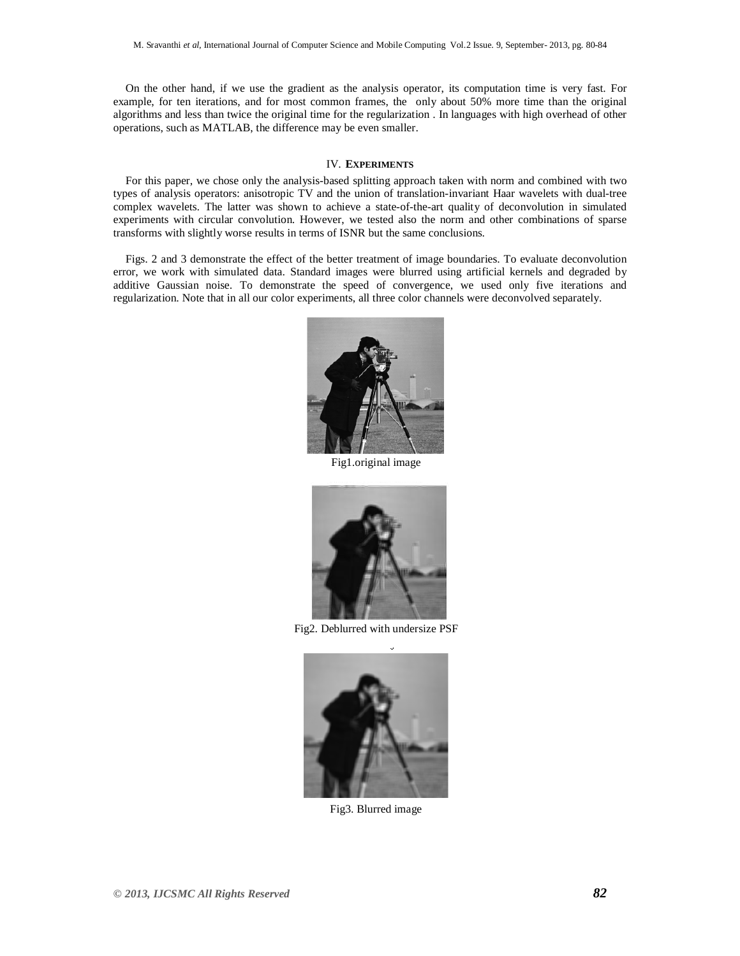On the other hand, if we use the gradient as the analysis operator, its computation time is very fast. For example, for ten iterations, and for most common frames, the only about 50% more time than the original algorithms and less than twice the original time for the regularization . In languages with high overhead of other operations, such as MATLAB, the difference may be even smaller.

#### IV. **EXPERIMENTS**

For this paper, we chose only the analysis-based splitting approach taken with norm and combined with two types of analysis operators: anisotropic TV and the union of translation-invariant Haar wavelets with dual-tree complex wavelets. The latter was shown to achieve a state-of-the-art quality of deconvolution in simulated experiments with circular convolution. However, we tested also the norm and other combinations of sparse transforms with slightly worse results in terms of ISNR but the same conclusions.

Figs. 2 and 3 demonstrate the effect of the better treatment of image boundaries. To evaluate deconvolution error, we work with simulated data. Standard images were blurred using artificial kernels and degraded by additive Gaussian noise. To demonstrate the speed of convergence, we used only five iterations and regularization. Note that in all our color experiments, all three color channels were deconvolved separately.



Fig1.original image



Fig2. Deblurred with undersize PSF



Fig3. Blurred image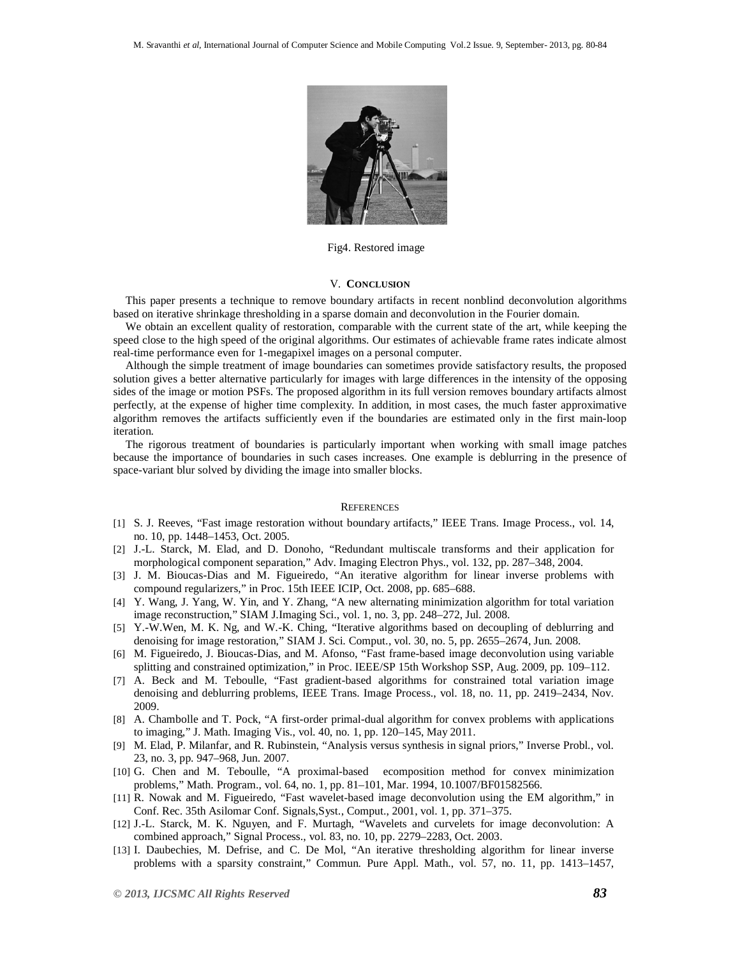

Fig4. Restored image

### V. **CONCLUSION**

This paper presents a technique to remove boundary artifacts in recent nonblind deconvolution algorithms based on iterative shrinkage thresholding in a sparse domain and deconvolution in the Fourier domain.

We obtain an excellent quality of restoration, comparable with the current state of the art, while keeping the speed close to the high speed of the original algorithms. Our estimates of achievable frame rates indicate almost real-time performance even for 1-megapixel images on a personal computer.

Although the simple treatment of image boundaries can sometimes provide satisfactory results, the proposed solution gives a better alternative particularly for images with large differences in the intensity of the opposing sides of the image or motion PSFs. The proposed algorithm in its full version removes boundary artifacts almost perfectly, at the expense of higher time complexity. In addition, in most cases, the much faster approximative algorithm removes the artifacts sufficiently even if the boundaries are estimated only in the first main-loop iteration.

The rigorous treatment of boundaries is particularly important when working with small image patches because the importance of boundaries in such cases increases. One example is deblurring in the presence of space-variant blur solved by dividing the image into smaller blocks.

#### **REFERENCES**

- [1] S. J. Reeves, "Fast image restoration without boundary artifacts," IEEE Trans. Image Process., vol. 14, no. 10, pp. 1448–1453, Oct. 2005.
- [2] J.-L. Starck, M. Elad, and D. Donoho, "Redundant multiscale transforms and their application for morphological component separation," Adv. Imaging Electron Phys., vol. 132, pp. 287–348, 2004.
- [3] J. M. Bioucas-Dias and M. Figueiredo, "An iterative algorithm for linear inverse problems with compound regularizers," in Proc. 15th IEEE ICIP, Oct. 2008, pp. 685–688.
- [4] Y. Wang, J. Yang, W. Yin, and Y. Zhang, "A new alternating minimization algorithm for total variation image reconstruction," SIAM J.Imaging Sci., vol. 1, no. 3, pp. 248–272, Jul. 2008.
- [5] Y.-W.Wen, M. K. Ng, and W.-K. Ching, "Iterative algorithms based on decoupling of deblurring and denoising for image restoration," SIAM J. Sci. Comput., vol. 30, no. 5, pp. 2655–2674, Jun. 2008.
- [6] M. Figueiredo, J. Bioucas-Dias, and M. Afonso, "Fast frame-based image deconvolution using variable splitting and constrained optimization," in Proc. IEEE/SP 15th Workshop SSP, Aug. 2009, pp. 109–112.
- [7] A. Beck and M. Teboulle, "Fast gradient-based algorithms for constrained total variation image denoising and deblurring problems, IEEE Trans. Image Process., vol. 18, no. 11, pp. 2419–2434, Nov. 2009.
- [8] A. Chambolle and T. Pock, "A first-order primal-dual algorithm for convex problems with applications to imaging," J. Math. Imaging Vis., vol. 40, no. 1, pp. 120–145, May 2011.
- [9] M. Elad, P. Milanfar, and R. Rubinstein, "Analysis versus synthesis in signal priors," Inverse Probl., vol. 23, no. 3, pp. 947–968, Jun. 2007.
- [10] G. Chen and M. Teboulle, "A proximal-based ecomposition method for convex minimization problems," Math. Program., vol. 64, no. 1, pp. 81–101, Mar. 1994, 10.1007/BF01582566.
- [11] R. Nowak and M. Figueiredo, "Fast wavelet-based image deconvolution using the EM algorithm," in Conf. Rec. 35th Asilomar Conf. Signals,Syst., Comput., 2001, vol. 1, pp. 371–375.
- [12] J.-L. Starck, M. K. Nguyen, and F. Murtagh, "Wavelets and curvelets for image deconvolution: A combined approach," Signal Process., vol. 83, no. 10, pp. 2279–2283, Oct. 2003.
- [13] I. Daubechies, M. Defrise, and C. De Mol, "An iterative thresholding algorithm for linear inverse problems with a sparsity constraint," Commun. Pure Appl. Math., vol. 57, no. 11, pp. 1413–1457,